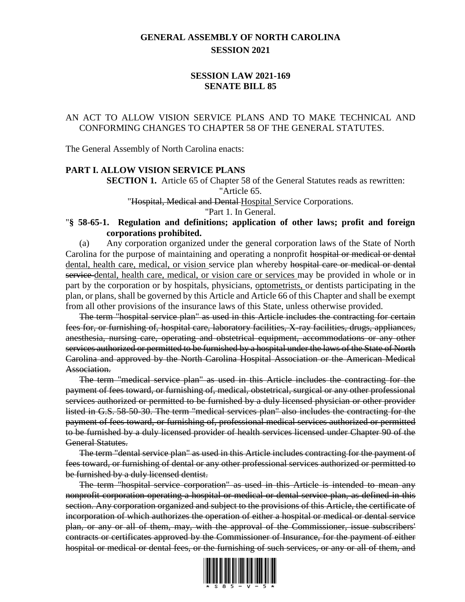# **GENERAL ASSEMBLY OF NORTH CAROLINA SESSION 2021**

# **SESSION LAW 2021-169 SENATE BILL 85**

# AN ACT TO ALLOW VISION SERVICE PLANS AND TO MAKE TECHNICAL AND CONFORMING CHANGES TO CHAPTER 58 OF THE GENERAL STATUTES.

The General Assembly of North Carolina enacts:

#### **PART I. ALLOW VISION SERVICE PLANS**

**SECTION 1.** Article 65 of Chapter 58 of the General Statutes reads as rewritten:

"Article 65.

"Hospital, Medical and Dental Hospital Service Corporations.

"Part 1. In General.

### "**§ 58-65-1. Regulation and definitions; application of other laws; profit and foreign corporations prohibited.**

(a) Any corporation organized under the general corporation laws of the State of North Carolina for the purpose of maintaining and operating a nonprofit hospital or medical or dental dental, health care, medical, or vision service plan whereby hospital care or medical or dental service dental, health care, medical, or vision care or services may be provided in whole or in part by the corporation or by hospitals, physicians, optometrists, or dentists participating in the plan, or plans, shall be governed by this Article and Article 66 of this Chapter and shall be exempt from all other provisions of the insurance laws of this State, unless otherwise provided.

The term "hospital service plan" as used in this Article includes the contracting for certain fees for, or furnishing of, hospital care, laboratory facilities, X-ray facilities, drugs, appliances, anesthesia, nursing care, operating and obstetrical equipment, accommodations or any other services authorized or permitted to be furnished by a hospital under the laws of the State of North Carolina and approved by the North Carolina Hospital Association or the American Medical Association.

The term "medical service plan" as used in this Article includes the contracting for the payment of fees toward, or furnishing of, medical, obstetrical, surgical or any other professional services authorized or permitted to be furnished by a duly licensed physician or other provider listed in G.S. 58-50-30. The term "medical services plan" also includes the contracting for the payment of fees toward, or furnishing of, professional medical services authorized or permitted to be furnished by a duly licensed provider of health services licensed under Chapter 90 of the General Statutes.

The term "dental service plan" as used in this Article includes contracting for the payment of fees toward, or furnishing of dental or any other professional services authorized or permitted to be furnished by a duly licensed dentist.

The term "hospital service corporation" as used in this Article is intended to mean any nonprofit corporation operating a hospital or medical or dental service plan, as defined in this section. Any corporation organized and subject to the provisions of this Article, the certificate of incorporation of which authorizes the operation of either a hospital or medical or dental service plan, or any or all of them, may, with the approval of the Commissioner, issue subscribers' contracts or certificates approved by the Commissioner of Insurance, for the payment of either hospital or medical or dental fees, or the furnishing of such services, or any or all of them, and

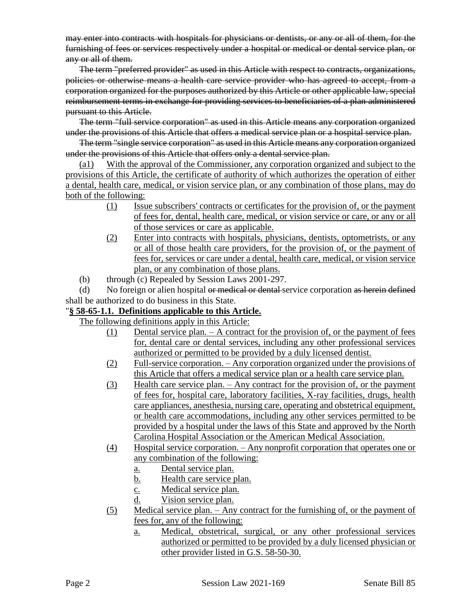may enter into contracts with hospitals for physicians or dentists, or any or all of them, for the furnishing of fees or services respectively under a hospital or medical or dental service plan, or any or all of them.

The term "preferred provider" as used in this Article with respect to contracts, organizations, policies or otherwise means a health care service provider who has agreed to accept, from a corporation organized for the purposes authorized by this Article or other applicable law, special reimbursement terms in exchange for providing services to beneficiaries of a plan administered pursuant to this Article.

The term "full service corporation" as used in this Article means any corporation organized under the provisions of this Article that offers a medical service plan or a hospital service plan.

The term "single service corporation" as used in this Article means any corporation organized under the provisions of this Article that offers only a dental service plan.

(a1) With the approval of the Commissioner, any corporation organized and subject to the provisions of this Article, the certificate of authority of which authorizes the operation of either a dental, health care, medical, or vision service plan, or any combination of those plans, may do both of the following:

- (1) Issue subscribers' contracts or certificates for the provision of, or the payment of fees for, dental, health care, medical, or vision service or care, or any or all of those services or care as applicable.
- (2) Enter into contracts with hospitals, physicians, dentists, optometrists, or any or all of those health care providers, for the provision of, or the payment of fees for, services or care under a dental, health care, medical, or vision service plan, or any combination of those plans.
- (b) through (c) Repealed by Session Laws 2001-297.

(d) No foreign or alien hospital or medical or dental service corporation as herein defined shall be authorized to do business in this State.

# "**§ 58-65-1.1. Definitions applicable to this Article.**

The following definitions apply in this Article:

- (1) Dental service plan. A contract for the provision of, or the payment of fees for, dental care or dental services, including any other professional services authorized or permitted to be provided by a duly licensed dentist.
- (2) Full-service corporation. Any corporation organized under the provisions of this Article that offers a medical service plan or a health care service plan.
- (3) Health care service plan. Any contract for the provision of, or the payment of fees for, hospital care, laboratory facilities, X-ray facilities, drugs, health care appliances, anesthesia, nursing care, operating and obstetrical equipment, or health care accommodations, including any other services permitted to be provided by a hospital under the laws of this State and approved by the North Carolina Hospital Association or the American Medical Association.
- (4) Hospital service corporation. Any nonprofit corporation that operates one or any combination of the following:
	- a. Dental service plan.
	- b. Health care service plan.
	- c. Medical service plan.
	- d. Vision service plan.
- (5) Medical service plan. Any contract for the furnishing of, or the payment of fees for, any of the following:
	- a. Medical, obstetrical, surgical, or any other professional services authorized or permitted to be provided by a duly licensed physician or other provider listed in G.S. 58-50-30.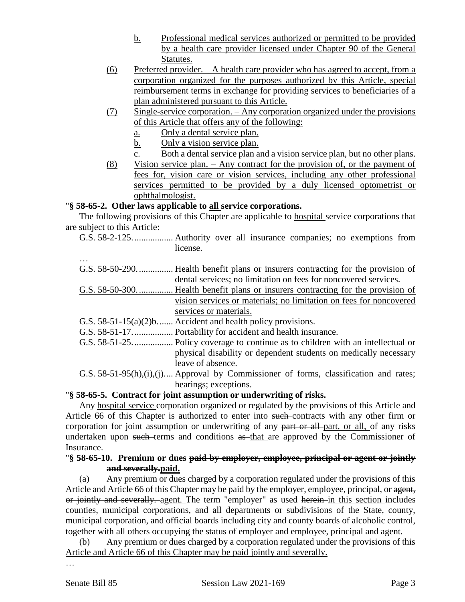- b. Professional medical services authorized or permitted to be provided by a health care provider licensed under Chapter 90 of the General Statutes.
- (6) Preferred provider. A health care provider who has agreed to accept, from a corporation organized for the purposes authorized by this Article, special reimbursement terms in exchange for providing services to beneficiaries of a plan administered pursuant to this Article.
- (7) Single-service corporation. Any corporation organized under the provisions of this Article that offers any of the following:
	- a. Only a dental service plan.
	- b. Only a vision service plan.
	- c. Both a dental service plan and a vision service plan, but no other plans.
- (8) Vision service plan. Any contract for the provision of, or the payment of fees for, vision care or vision services, including any other professional services permitted to be provided by a duly licensed optometrist or ophthalmologist.

### "**§ 58-65-2. Other laws applicable to all service corporations.**

The following provisions of this Chapter are applicable to **hospital** service corporations that are subject to this Article:

G.S. 58-2-125.................. Authority over all insurance companies; no exemptions from license.

| G.S. $58-50-290$ | Health benefit plans or insurers contracting for the provision of                       |
|------------------|-----------------------------------------------------------------------------------------|
|                  | dental services; no limitation on fees for noncovered services.                         |
|                  |                                                                                         |
|                  | vision services or materials; no limitation on fees for noncovered                      |
|                  | services or materials.                                                                  |
|                  | G.S. $58-51-15(a)(2)b$ Accident and health policy provisions.                           |
|                  |                                                                                         |
|                  |                                                                                         |
|                  | physical disability or dependent students on medically necessary                        |
|                  | leave of absence.                                                                       |
|                  | G.S. $58-51-95(h),(i),(j)$ Approval by Commissioner of forms, classification and rates; |
|                  | hearings; exceptions.                                                                   |

# "**§ 58-65-5. Contract for joint assumption or underwriting of risks.**

Any hospital service corporation organized or regulated by the provisions of this Article and Article 66 of this Chapter is authorized to enter into such contracts with any other firm or corporation for joint assumption or underwriting of any part or all-part, or all, of any risks undertaken upon such terms and conditions as that are approved by the Commissioner of Insurance.

## "**§ 58-65-10. Premium or dues paid by employer, employee, principal or agent or jointly and severally.paid.**

(a) Any premium or dues charged by a corporation regulated under the provisions of this Article and Article 66 of this Chapter may be paid by the employer, employee, principal, or agent, or jointly and severally. agent. The term "employer" as used herein in this section includes counties, municipal corporations, and all departments or subdivisions of the State, county, municipal corporation, and official boards including city and county boards of alcoholic control, together with all others occupying the status of employer and employee, principal and agent.

(b) Any premium or dues charged by a corporation regulated under the provisions of this Article and Article 66 of this Chapter may be paid jointly and severally.

…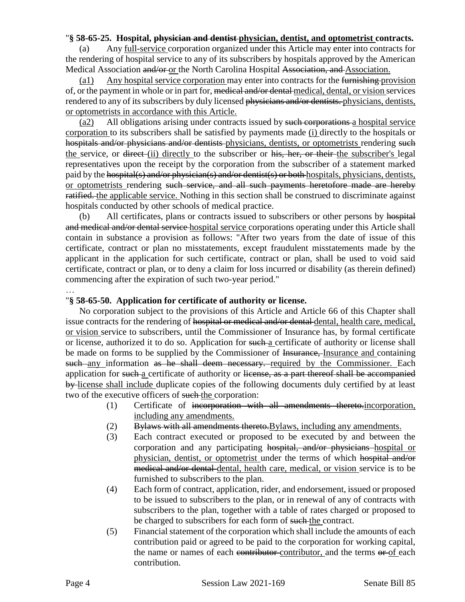### "**§ 58-65-25. Hospital, physician and dentist physician, dentist, and optometrist contracts.**

(a) Any full-service corporation organized under this Article may enter into contracts for the rendering of hospital service to any of its subscribers by hospitals approved by the American Medical Association and/or-or the North Carolina Hospital Association, and Association.

(a1) Any hospital service corporation may enter into contracts for the furnishing provision of, or the payment in whole or in part for, medical and/or dental medical, dental, or vision services rendered to any of its subscribers by duly licensed physicians and/or dentists. physicians, dentists, or optometrists in accordance with this Article.

(a2) All obligations arising under contracts issued by such corporations a hospital service corporation to its subscribers shall be satisfied by payments made (i) directly to the hospitals or hospitals and/or physicians and/or dentists physicians, dentists, or optometrists rendering such the service, or <del>direct</del>-(ii) directly to the subscriber or his, her, or their-the subscriber's legal representatives upon the receipt by the corporation from the subscriber of a statement marked paid by the hospital(s) and/or physician(s) and/or dentist(s) or both hospitals, physicians, dentists, or optometrists rendering such service, and all such payments heretofore made are hereby ratified. the applicable service. Nothing in this section shall be construed to discriminate against hospitals conducted by other schools of medical practice.

(b) All certificates, plans or contracts issued to subscribers or other persons by hospital and medical and/or dental service hospital service corporations operating under this Article shall contain in substance a provision as follows: "After two years from the date of issue of this certificate, contract or plan no misstatements, except fraudulent misstatements made by the applicant in the application for such certificate, contract or plan, shall be used to void said certificate, contract or plan, or to deny a claim for loss incurred or disability (as therein defined) commencing after the expiration of such two-year period."

# …

# "**§ 58-65-50. Application for certificate of authority or license.**

No corporation subject to the provisions of this Article and Article 66 of this Chapter shall issue contracts for the rendering of hospital or medical and/or dental dental, health care, medical, or vision service to subscribers, until the Commissioner of Insurance has, by formal certificate or license, authorized it to do so. Application for such a certificate of authority or license shall be made on forms to be supplied by the Commissioner of Insurance, Insurance and containing such any information as he shall deem necessary. required by the Commissioner. Each application for such a certificate of authority or license, as a part thereof shall be accompanied by-license shall include duplicate copies of the following documents duly certified by at least two of the executive officers of such the corporation:

- (1) Certificate of incorporation with all amendments thereto.incorporation, including any amendments.
- $(2)$  Bylaws with all amendments thereto. Bylaws, including any amendments.
- (3) Each contract executed or proposed to be executed by and between the corporation and any participating hospital, and/or physicians hospital or physician, dentist, or optometrist under the terms of which hospital and/or medical and/or dental dental, health care, medical, or vision service is to be furnished to subscribers to the plan.
- (4) Each form of contract, application, rider, and endorsement, issued or proposed to be issued to subscribers to the plan, or in renewal of any of contracts with subscribers to the plan, together with a table of rates charged or proposed to be charged to subscribers for each form of such the contract.
- (5) Financial statement of the corporation which shall include the amounts of each contribution paid or agreed to be paid to the corporation for working capital, the name or names of each contributor-contributor, and the terms or of each contribution.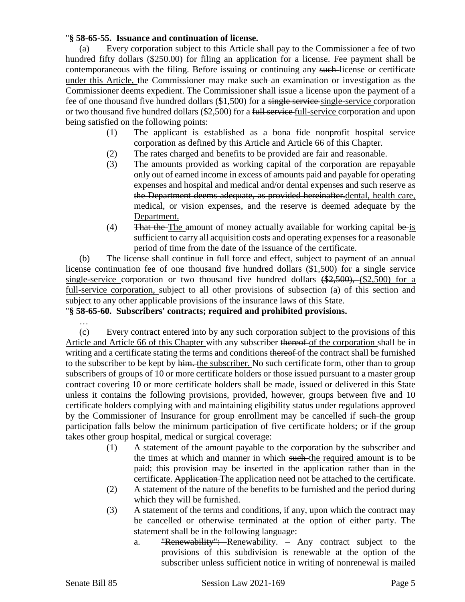## "**§ 58-65-55. Issuance and continuation of license.**

(a) Every corporation subject to this Article shall pay to the Commissioner a fee of two hundred fifty dollars (\$250.00) for filing an application for a license. Fee payment shall be contemporaneous with the filing. Before issuing or continuing any such license or certificate under this Article, the Commissioner may make such an examination or investigation as the Commissioner deems expedient. The Commissioner shall issue a license upon the payment of a fee of one thousand five hundred dollars (\$1,500) for a single service single-service corporation or two thousand five hundred dollars (\$2,500) for a full service full-service corporation and upon being satisfied on the following points:

- (1) The applicant is established as a bona fide nonprofit hospital service corporation as defined by this Article and Article 66 of this Chapter.
- (2) The rates charged and benefits to be provided are fair and reasonable.
- (3) The amounts provided as working capital of the corporation are repayable only out of earned income in excess of amounts paid and payable for operating expenses and hospital and medical and/or dental expenses and such reserve as the Department deems adequate, as provided hereinafter.dental, health care, medical, or vision expenses, and the reserve is deemed adequate by the Department.
- (4) That the The amount of money actually available for working capital be is sufficient to carry all acquisition costs and operating expenses for a reasonable period of time from the date of the issuance of the certificate.

(b) The license shall continue in full force and effect, subject to payment of an annual license continuation fee of one thousand five hundred dollars (\$1,500) for a single service single-service corporation or two thousand five hundred dollars  $(\frac{25500}{62500})$ ,  $(\frac{2500}{62500})$  for a full-service corporation, subject to all other provisions of subsection (a) of this section and subject to any other applicable provisions of the insurance laws of this State.

# "**§ 58-65-60. Subscribers' contracts; required and prohibited provisions.**

…

(c) Every contract entered into by any such corporation subject to the provisions of this Article and Article 66 of this Chapter with any subscriber thereof of the corporation shall be in writing and a certificate stating the terms and conditions thereof of the contract shall be furnished to the subscriber to be kept by him. the subscriber. No such certificate form, other than to group subscribers of groups of 10 or more certificate holders or those issued pursuant to a master group contract covering 10 or more certificate holders shall be made, issued or delivered in this State unless it contains the following provisions, provided, however, groups between five and 10 certificate holders complying with and maintaining eligibility status under regulations approved by the Commissioner of Insurance for group enrollment may be cancelled if such the group participation falls below the minimum participation of five certificate holders; or if the group takes other group hospital, medical or surgical coverage:

- (1) A statement of the amount payable to the corporation by the subscriber and the times at which and manner in which such the required amount is to be paid; this provision may be inserted in the application rather than in the certificate. Application The application need not be attached to the certificate.
- (2) A statement of the nature of the benefits to be furnished and the period during which they will be furnished.
- (3) A statement of the terms and conditions, if any, upon which the contract may be cancelled or otherwise terminated at the option of either party. The statement shall be in the following language:
	- a. "Renewability": Renewability.  $-$  Any contract subject to the provisions of this subdivision is renewable at the option of the subscriber unless sufficient notice in writing of nonrenewal is mailed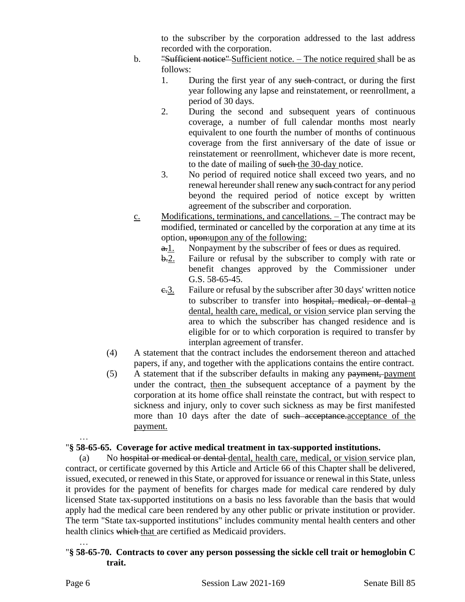to the subscriber by the corporation addressed to the last address recorded with the corporation.

- b. "Sufficient notice"-Sufficient notice. The notice required shall be as follows:
	- 1. During the first year of any such-contract, or during the first year following any lapse and reinstatement, or reenrollment, a period of 30 days.
	- 2. During the second and subsequent years of continuous coverage, a number of full calendar months most nearly equivalent to one fourth the number of months of continuous coverage from the first anniversary of the date of issue or reinstatement or reenrollment, whichever date is more recent, to the date of mailing of such the 30-day notice.
	- 3. No period of required notice shall exceed two years, and no renewal hereunder shall renew any such contract for any period beyond the required period of notice except by written agreement of the subscriber and corporation.
- c. Modifications, terminations, and cancellations. The contract may be modified, terminated or cancelled by the corporation at any time at its option, upon:upon any of the following:
	- a. Nonpayment by the subscriber of fees or dues as required.
	- b.2. Failure or refusal by the subscriber to comply with rate or benefit changes approved by the Commissioner under G.S. 58-65-45.
	- e.3. Failure or refusal by the subscriber after 30 days' written notice to subscriber to transfer into hospital, medical, or dental a dental, health care, medical, or vision service plan serving the area to which the subscriber has changed residence and is eligible for or to which corporation is required to transfer by interplan agreement of transfer.
- (4) A statement that the contract includes the endorsement thereon and attached papers, if any, and together with the applications contains the entire contract.
- (5) A statement that if the subscriber defaults in making any payment, payment under the contract, then the subsequent acceptance of a payment by the corporation at its home office shall reinstate the contract, but with respect to sickness and injury, only to cover such sickness as may be first manifested more than 10 days after the date of such acceptance.acceptance of the payment.

# "**§ 58-65-65. Coverage for active medical treatment in tax-supported institutions.**

(a) No hospital or medical or dental dental, health care, medical, or vision service plan, contract, or certificate governed by this Article and Article 66 of this Chapter shall be delivered, issued, executed, or renewed in this State, or approved for issuance or renewal in this State, unless it provides for the payment of benefits for charges made for medical care rendered by duly licensed State tax-supported institutions on a basis no less favorable than the basis that would apply had the medical care been rendered by any other public or private institution or provider. The term "State tax-supported institutions" includes community mental health centers and other health clinics which that are certified as Medicaid providers.

### … "**§ 58-65-70. Contracts to cover any person possessing the sickle cell trait or hemoglobin C trait.**

…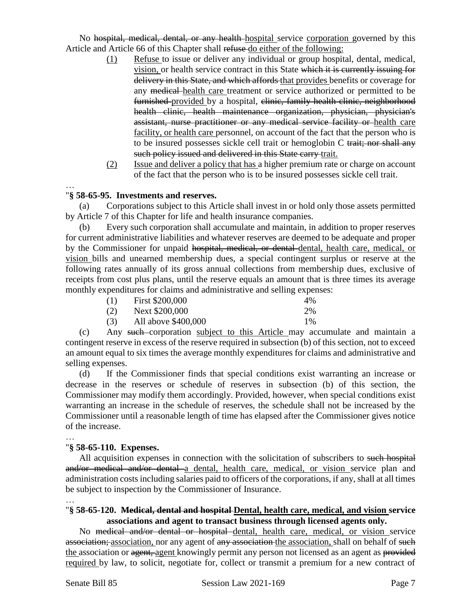No hospital, medical, dental, or any health hospital service corporation governed by this Article and Article 66 of this Chapter shall refuse do either of the following:

- (1) Refuse to issue or deliver any individual or group hospital, dental, medical, vision, or health service contract in this State which it is currently issuing for delivery in this State, and which affords that provides benefits or coverage for any medical health care treatment or service authorized or permitted to be furnished provided by a hospital, clinic, family health clinic, neighborhood health clinic, health maintenance organization, physician, physician's assistant, nurse practitioner or any medical service facility or health care facility, or health care personnel, on account of the fact that the person who is to be insured possesses sickle cell trait or hemoglobin C trait; nor shall any such policy issued and delivered in this State carry trait.
- (2) Issue and deliver a policy that has a higher premium rate or charge on account of the fact that the person who is to be insured possesses sickle cell trait.

### … "**§ 58-65-95. Investments and reserves.**

(a) Corporations subject to this Article shall invest in or hold only those assets permitted by Article 7 of this Chapter for life and health insurance companies.

(b) Every such corporation shall accumulate and maintain, in addition to proper reserves for current administrative liabilities and whatever reserves are deemed to be adequate and proper by the Commissioner for unpaid hospital, medical, or dental dental, health care, medical, or vision bills and unearned membership dues, a special contingent surplus or reserve at the following rates annually of its gross annual collections from membership dues, exclusive of receipts from cost plus plans, until the reserve equals an amount that is three times its average monthly expenditures for claims and administrative and selling expenses:

| (1) | First \$200,000     | 4% |
|-----|---------------------|----|
| (2) | Next \$200,000      | 2% |
| (3) | All above \$400,000 | 1% |

(c) Any such corporation subject to this Article may accumulate and maintain a contingent reserve in excess of the reserve required in subsection (b) of this section, not to exceed an amount equal to six times the average monthly expenditures for claims and administrative and selling expenses.

(d) If the Commissioner finds that special conditions exist warranting an increase or decrease in the reserves or schedule of reserves in subsection (b) of this section, the Commissioner may modify them accordingly. Provided, however, when special conditions exist warranting an increase in the schedule of reserves, the schedule shall not be increased by the Commissioner until a reasonable length of time has elapsed after the Commissioner gives notice of the increase.

#### …

### "**§ 58-65-110. Expenses.**

All acquisition expenses in connection with the solicitation of subscribers to such hospital and/or medical and/or dental a dental, health care, medical, or vision service plan and administration costs including salaries paid to officers of the corporations, if any, shall at all times be subject to inspection by the Commissioner of Insurance.

# …

### "**§ 58-65-120. Medical, dental and hospital Dental, health care, medical, and vision service associations and agent to transact business through licensed agents only.**

No medical and/or dental or hospital dental, health care, medical, or vision service association; association, nor any agent of any association the association, shall on behalf of such the association or agent, agent knowingly permit any person not licensed as an agent as provided required by law, to solicit, negotiate for, collect or transmit a premium for a new contract of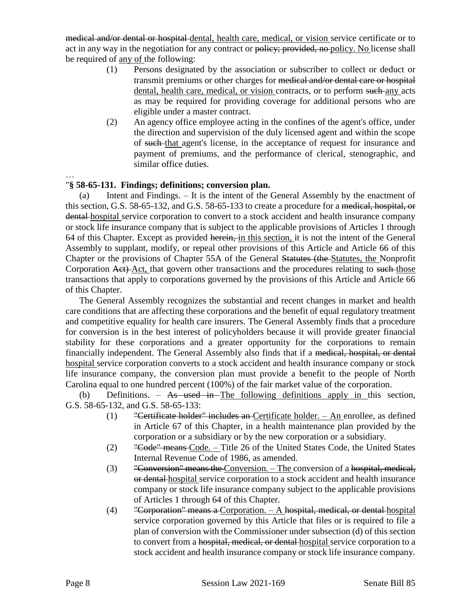medical and/or dental or hospital dental, health care, medical, or vision service certificate or to act in any way in the negotiation for any contract or policy; provided, no policy. No license shall be required of any of the following:

- (1) Persons designated by the association or subscriber to collect or deduct or transmit premiums or other charges for medical and/or dental care or hospital dental, health care, medical, or vision contracts, or to perform such any acts as may be required for providing coverage for additional persons who are eligible under a master contract.
- (2) An agency office employee acting in the confines of the agent's office, under the direction and supervision of the duly licensed agent and within the scope of such that agent's license, in the acceptance of request for insurance and payment of premiums, and the performance of clerical, stenographic, and similar office duties.

…

# "**§ 58-65-131. Findings; definitions; conversion plan.**

(a) Intent and Findings. – It is the intent of the General Assembly by the enactment of this section, G.S. 58-65-132, and G.S. 58-65-133 to create a procedure for a medical, hospital, or dental hospital service corporation to convert to a stock accident and health insurance company or stock life insurance company that is subject to the applicable provisions of Articles 1 through 64 of this Chapter. Except as provided herein, in this section, it is not the intent of the General Assembly to supplant, modify, or repeal other provisions of this Article and Article 66 of this Chapter or the provisions of Chapter 55A of the General Statutes (the Statutes, the Nonprofit Corporation Act) Act, that govern other transactions and the procedures relating to such those transactions that apply to corporations governed by the provisions of this Article and Article 66 of this Chapter.

The General Assembly recognizes the substantial and recent changes in market and health care conditions that are affecting these corporations and the benefit of equal regulatory treatment and competitive equality for health care insurers. The General Assembly finds that a procedure for conversion is in the best interest of policyholders because it will provide greater financial stability for these corporations and a greater opportunity for the corporations to remain financially independent. The General Assembly also finds that if a medical, hospital, or dental hospital service corporation converts to a stock accident and health insurance company or stock life insurance company, the conversion plan must provide a benefit to the people of North Carolina equal to one hundred percent (100%) of the fair market value of the corporation.

(b) Definitions.  $-$  As used in The following definitions apply in this section, G.S. 58-65-132, and G.S. 58-65-133:

- (1) "Certificate holder" includes an Certificate holder. An enrollee, as defined in Article 67 of this Chapter, in a health maintenance plan provided by the corporation or a subsidiary or by the new corporation or a subsidiary.
- (2) "Code" means Code. Title 26 of the United States Code, the United States Internal Revenue Code of 1986, as amended.
- (3) "Conversion" means the Conversion. The conversion of a hospital, medical, or dental hospital service corporation to a stock accident and health insurance company or stock life insurance company subject to the applicable provisions of Articles 1 through 64 of this Chapter.
- (4) "Corporation" means a Corporation.  $A$  hospital, medical, or dental hospital service corporation governed by this Article that files or is required to file a plan of conversion with the Commissioner under subsection (d) of this section to convert from a hospital, medical, or dental hospital service corporation to a stock accident and health insurance company or stock life insurance company.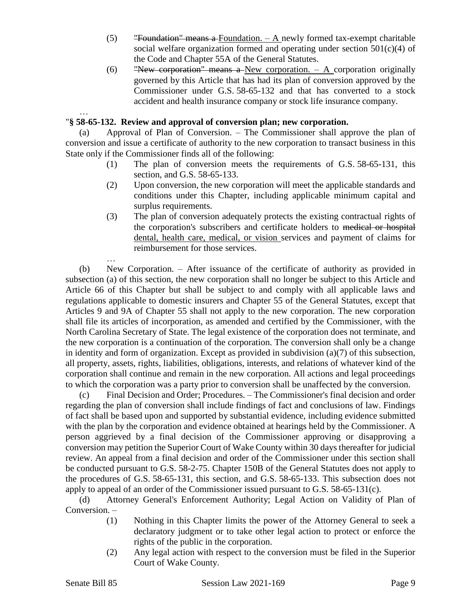- $(5)$  "Foundation" means a Foundation.  $-$  A newly formed tax-exempt charitable social welfare organization formed and operating under section  $501(c)(4)$  of the Code and Chapter 55A of the General Statutes.
- (6) "New corporation" means a New corporation.  $-$  A corporation originally governed by this Article that has had its plan of conversion approved by the Commissioner under G.S. 58-65-132 and that has converted to a stock accident and health insurance company or stock life insurance company.

## "**§ 58-65-132. Review and approval of conversion plan; new corporation.**

(a) Approval of Plan of Conversion. – The Commissioner shall approve the plan of conversion and issue a certificate of authority to the new corporation to transact business in this State only if the Commissioner finds all of the following:

- (1) The plan of conversion meets the requirements of G.S. 58-65-131, this section, and G.S. 58-65-133.
- (2) Upon conversion, the new corporation will meet the applicable standards and conditions under this Chapter, including applicable minimum capital and surplus requirements.
- (3) The plan of conversion adequately protects the existing contractual rights of the corporation's subscribers and certificate holders to medical or hospital dental, health care, medical, or vision services and payment of claims for reimbursement for those services.

(b) New Corporation. – After issuance of the certificate of authority as provided in subsection (a) of this section, the new corporation shall no longer be subject to this Article and Article 66 of this Chapter but shall be subject to and comply with all applicable laws and regulations applicable to domestic insurers and Chapter 55 of the General Statutes, except that Articles 9 and 9A of Chapter 55 shall not apply to the new corporation. The new corporation shall file its articles of incorporation, as amended and certified by the Commissioner, with the North Carolina Secretary of State. The legal existence of the corporation does not terminate, and the new corporation is a continuation of the corporation. The conversion shall only be a change in identity and form of organization. Except as provided in subdivision (a)(7) of this subsection, all property, assets, rights, liabilities, obligations, interests, and relations of whatever kind of the corporation shall continue and remain in the new corporation. All actions and legal proceedings to which the corporation was a party prior to conversion shall be unaffected by the conversion.

(c) Final Decision and Order; Procedures. – The Commissioner's final decision and order regarding the plan of conversion shall include findings of fact and conclusions of law. Findings of fact shall be based upon and supported by substantial evidence, including evidence submitted with the plan by the corporation and evidence obtained at hearings held by the Commissioner. A person aggrieved by a final decision of the Commissioner approving or disapproving a conversion may petition the Superior Court of Wake County within 30 days thereafter for judicial review. An appeal from a final decision and order of the Commissioner under this section shall be conducted pursuant to G.S. 58-2-75. Chapter 150B of the General Statutes does not apply to the procedures of G.S. 58-65-131, this section, and G.S. 58-65-133. This subsection does not apply to appeal of an order of the Commissioner issued pursuant to G.S. 58-65-131(c).

(d) Attorney General's Enforcement Authority; Legal Action on Validity of Plan of Conversion. –

- (1) Nothing in this Chapter limits the power of the Attorney General to seek a declaratory judgment or to take other legal action to protect or enforce the rights of the public in the corporation.
- (2) Any legal action with respect to the conversion must be filed in the Superior Court of Wake County.

…

…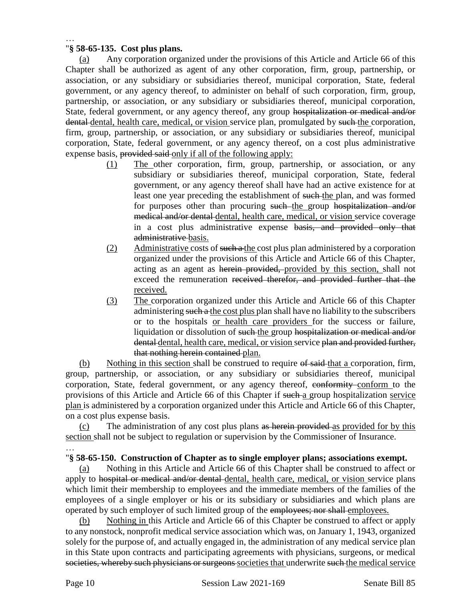### … "**§ 58-65-135. Cost plus plans.**

(a) Any corporation organized under the provisions of this Article and Article 66 of this Chapter shall be authorized as agent of any other corporation, firm, group, partnership, or association, or any subsidiary or subsidiaries thereof, municipal corporation, State, federal government, or any agency thereof, to administer on behalf of such corporation, firm, group, partnership, or association, or any subsidiary or subsidiaries thereof, municipal corporation, State, federal government, or any agency thereof, any group hospitalization or medical and/or dental dental, health care, medical, or vision service plan, promulgated by such the corporation, firm, group, partnership, or association, or any subsidiary or subsidiaries thereof, municipal corporation, State, federal government, or any agency thereof, on a cost plus administrative expense basis, provided said only if all of the following apply:

- (1) The other corporation, firm, group, partnership, or association, or any subsidiary or subsidiaries thereof, municipal corporation, State, federal government, or any agency thereof shall have had an active existence for at least one year preceding the establishment of such the plan, and was formed for purposes other than procuring such the group hospitalization and/or medical and/or dental dental, health care, medical, or vision service coverage in a cost plus administrative expense basis, and provided only that administrative basis.
- (2) Administrative costs of such a the cost plus plan administered by a corporation organized under the provisions of this Article and Article 66 of this Chapter, acting as an agent as herein provided, provided by this section, shall not exceed the remuneration received therefor, and provided further that the received.
- (3) The corporation organized under this Article and Article 66 of this Chapter administering such a the cost plus plan shall have no liability to the subscribers or to the hospitals or health care providers for the success or failure, liquidation or dissolution of such the group hospitalization or medical and/or dental dental, health care, medical, or vision service plan and provided further, that nothing herein contained plan.

(b) Nothing in this section shall be construed to require of said that a corporation, firm, group, partnership, or association, or any subsidiary or subsidiaries thereof, municipal corporation, State, federal government, or any agency thereof, eonformity conform to the provisions of this Article and Article 66 of this Chapter if such a group hospitalization service plan is administered by a corporation organized under this Article and Article 66 of this Chapter, on a cost plus expense basis.

(c) The administration of any cost plus plans as herein provided as provided for by this section shall not be subject to regulation or supervision by the Commissioner of Insurance.

### … "**§ 58-65-150. Construction of Chapter as to single employer plans; associations exempt.**

(a) Nothing in this Article and Article 66 of this Chapter shall be construed to affect or apply to hospital or medical and/or dental dental, health care, medical, or vision service plans which limit their membership to employees and the immediate members of the families of the employees of a single employer or his or its subsidiary or subsidiaries and which plans are operated by such employer of such limited group of the employees; nor shall employees.

(b) Nothing in this Article and Article 66 of this Chapter be construed to affect or apply to any nonstock, nonprofit medical service association which was, on January 1, 1943, organized solely for the purpose of, and actually engaged in, the administration of any medical service plan in this State upon contracts and participating agreements with physicians, surgeons, or medical societies, whereby such physicians or surgeons societies that underwrite such the medical service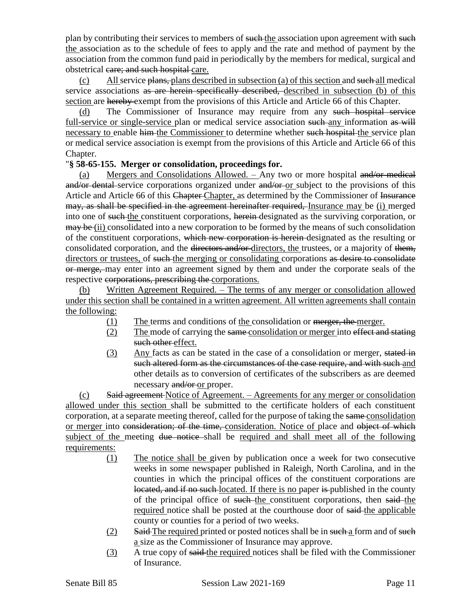plan by contributing their services to members of such the association upon agreement with such the association as to the schedule of fees to apply and the rate and method of payment by the association from the common fund paid in periodically by the members for medical, surgical and obstetrical eare; and such hospital care.

(c) All service  $\frac{\text{planes}}{\text{plans}}$ , plans described in subsection (a) of this section and such all medical service associations as are herein specifically described, described in subsection (b) of this section are hereby exempt from the provisions of this Article and Article 66 of this Chapter.

(d) The Commissioner of Insurance may require from any such hospital service full-service or single-service plan or medical service association such any information as will necessary to enable him the Commissioner to determine whether such hospital the service plan or medical service association is exempt from the provisions of this Article and Article 66 of this Chapter.

## "**§ 58-65-155. Merger or consolidation, proceedings for.**

(a) Mergers and Consolidations  $\Delta$ llowed. – Any two or more hospital and/or medical and/or dental service corporations organized under and/or or subject to the provisions of this Article and Article 66 of this Chapter Chapter, as determined by the Commissioner of Insurance may, as shall be specified in the agreement hereinafter required, Insurance may be (i) merged into one of such the constituent corporations, herein designated as the surviving corporation, or may be (ii) consolidated into a new corporation to be formed by the means of such consolidation of the constituent corporations, which new corporation is herein designated as the resulting or consolidated corporation, and the directors and/or directors, the trustees, or a majority of them, directors or trustees, of such the merging or consolidating corporations as desire to consolidate or merge, may enter into an agreement signed by them and under the corporate seals of the respective corporations, prescribing the corporations.

(b) Written Agreement Required. – The terms of any merger or consolidation allowed under this section shall be contained in a written agreement. All written agreements shall contain the following:

- (1) The terms and conditions of the consolidation or merger, the merger.
- (2) The mode of carrying the same consolidation or merger into effect and stating such other effect.
- (3) Any facts as can be stated in the case of a consolidation or merger, stated in such altered form as the circumstances of the case require, and with such and other details as to conversion of certificates of the subscribers as are deemed necessary and/or or proper.

(c) Said agreement Notice of Agreement. – Agreements for any merger or consolidation allowed under this section shall be submitted to the certificate holders of each constituent corporation, at a separate meeting thereof, called for the purpose of taking the same consolidation or merger into consideration; of the time, consideration. Notice of place and object of which subject of the meeting due notice shall be required and shall meet all of the following requirements:

- (1) The notice shall be given by publication once a week for two consecutive weeks in some newspaper published in Raleigh, North Carolina, and in the counties in which the principal offices of the constituent corporations are located, and if no such-located. If there is no paper is published in the county of the principal office of such the constituent corporations, then said the required notice shall be posted at the courthouse door of said the applicable county or counties for a period of two weeks.
- (2) Said The required printed or posted notices shall be in such a form and of such a size as the Commissioner of Insurance may approve.
- (3) A true copy of said the required notices shall be filed with the Commissioner of Insurance.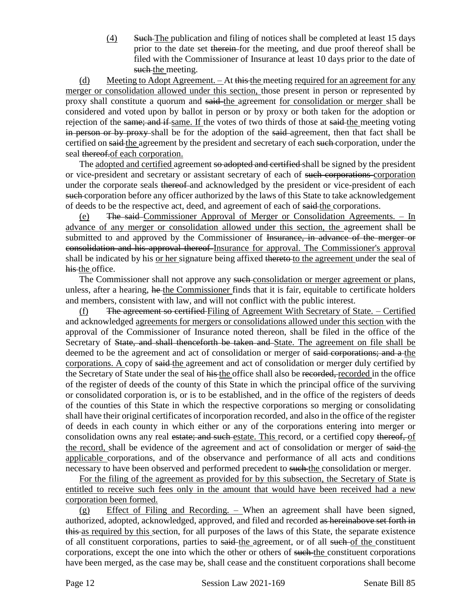(4) Such The publication and filing of notices shall be completed at least 15 days prior to the date set therein for the meeting, and due proof thereof shall be filed with the Commissioner of Insurance at least 10 days prior to the date of such the meeting.

(d) Meeting to Adopt Agreement. – At this the meeting required for an agreement for any merger or consolidation allowed under this section, those present in person or represented by proxy shall constitute a quorum and said-the agreement for consolidation or merger shall be considered and voted upon by ballot in person or by proxy or both taken for the adoption or rejection of the same; and if same. If the votes of two thirds of those at said the meeting voting in person or by proxy-shall be for the adoption of the said-agreement, then that fact shall be certified on said the agreement by the president and secretary of each such corporation, under the seal thereof.of each corporation.

The adopted and certified agreement so adopted and certified shall be signed by the president or vice-president and secretary or assistant secretary of each of such corporations corporation under the corporate seals thereof and acknowledged by the president or vice-president of each such corporation before any officer authorized by the laws of this State to take acknowledgement of deeds to be the respective act, deed, and agreement of each of said the corporations.

(e) The said Commissioner Approval of Merger or Consolidation Agreements. – In advance of any merger or consolidation allowed under this section, the agreement shall be submitted to and approved by the Commissioner of Insurance, in advance of the merger or consolidation and his approval thereof Insurance for approval. The Commissioner's approval shall be indicated by his or her signature being affixed thereto to the agreement under the seal of his the office.

The Commissioner shall not approve any such consolidation or merger agreement or plans, unless, after a hearing, he the Commissioner finds that it is fair, equitable to certificate holders and members, consistent with law, and will not conflict with the public interest.

(f) The agreement so certified Filing of Agreement With Secretary of State.  $-$  Certified and acknowledged agreements for mergers or consolidations allowed under this section with the approval of the Commissioner of Insurance noted thereon, shall be filed in the office of the Secretary of State, and shall thenceforth be taken and State. The agreement on file shall be deemed to be the agreement and act of consolidation or merger of said corporations; and a the corporations. A copy of said the agreement and act of consolidation or merger duly certified by the Secretary of State under the seal of his the office shall also be recorded, recorded in the office of the register of deeds of the county of this State in which the principal office of the surviving or consolidated corporation is, or is to be established, and in the office of the registers of deeds of the counties of this State in which the respective corporations so merging or consolidating shall have their original certificates of incorporation recorded, and also in the office of the register of deeds in each county in which either or any of the corporations entering into merger or consolidation owns any real estate; and such estate. This record, or a certified copy thereof, of the record, shall be evidence of the agreement and act of consolidation or merger of said-the applicable corporations, and of the observance and performance of all acts and conditions necessary to have been observed and performed precedent to such the consolidation or merger.

For the filing of the agreement as provided for by this subsection, the Secretary of State is entitled to receive such fees only in the amount that would have been received had a new corporation been formed.

(g) Effect of Filing and Recording. – When an agreement shall have been signed, authorized, adopted, acknowledged, approved, and filed and recorded as hereinabove set forth in this as required by this section, for all purposes of the laws of this State, the separate existence of all constituent corporations, parties to said the agreement, or of all such of the constituent corporations, except the one into which the other or others of such the constituent corporations have been merged, as the case may be, shall cease and the constituent corporations shall become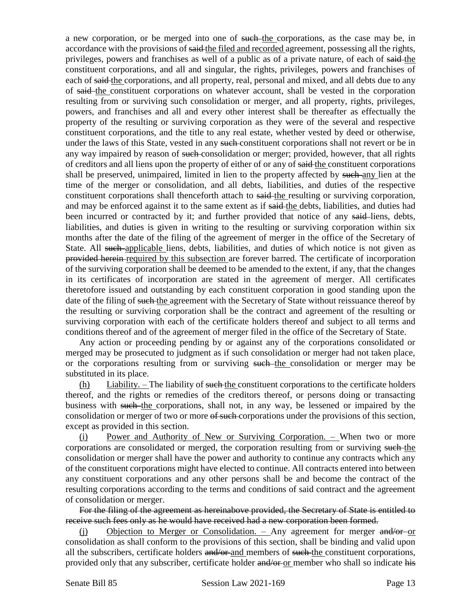a new corporation, or be merged into one of such the corporations, as the case may be, in accordance with the provisions of said the filed and recorded agreement, possessing all the rights, privileges, powers and franchises as well of a public as of a private nature, of each of said the constituent corporations, and all and singular, the rights, privileges, powers and franchises of each of said the corporations, and all property, real, personal and mixed, and all debts due to any of said the constituent corporations on whatever account, shall be vested in the corporation resulting from or surviving such consolidation or merger, and all property, rights, privileges, powers, and franchises and all and every other interest shall be thereafter as effectually the property of the resulting or surviving corporation as they were of the several and respective constituent corporations, and the title to any real estate, whether vested by deed or otherwise, under the laws of this State, vested in any such-constituent corporations shall not revert or be in any way impaired by reason of such consolidation or merger; provided, however, that all rights of creditors and all liens upon the property of either of or any of said the constituent corporations shall be preserved, unimpaired, limited in lien to the property affected by such any lien at the time of the merger or consolidation, and all debts, liabilities, and duties of the respective constituent corporations shall thenceforth attach to said the resulting or surviving corporation, and may be enforced against it to the same extent as if said-the debts, liabilities, and duties had been incurred or contracted by it; and further provided that notice of any said-liens, debts, liabilities, and duties is given in writing to the resulting or surviving corporation within six months after the date of the filing of the agreement of merger in the office of the Secretary of State. All such applicable liens, debts, liabilities, and duties of which notice is not given as provided herein required by this subsection are forever barred. The certificate of incorporation of the surviving corporation shall be deemed to be amended to the extent, if any, that the changes in its certificates of incorporation are stated in the agreement of merger. All certificates theretofore issued and outstanding by each constituent corporation in good standing upon the date of the filing of such the agreement with the Secretary of State without reissuance thereof by the resulting or surviving corporation shall be the contract and agreement of the resulting or surviving corporation with each of the certificate holders thereof and subject to all terms and conditions thereof and of the agreement of merger filed in the office of the Secretary of State.

Any action or proceeding pending by or against any of the corporations consolidated or merged may be prosecuted to judgment as if such consolidation or merger had not taken place, or the corporations resulting from or surviving such the consolidation or merger may be substituted in its place.

(h) Liability. – The liability of such the constituent corporations to the certificate holders thereof, and the rights or remedies of the creditors thereof, or persons doing or transacting business with such the corporations, shall not, in any way, be lessened or impaired by the consolidation or merger of two or more of such corporations under the provisions of this section, except as provided in this section.

(i) Power and Authority of New or Surviving Corporation. – When two or more corporations are consolidated or merged, the corporation resulting from or surviving such the consolidation or merger shall have the power and authority to continue any contracts which any of the constituent corporations might have elected to continue. All contracts entered into between any constituent corporations and any other persons shall be and become the contract of the resulting corporations according to the terms and conditions of said contract and the agreement of consolidation or merger.

For the filing of the agreement as hereinabove provided, the Secretary of State is entitled to receive such fees only as he would have received had a new corporation been formed.

(i) Objection to Merger or Consolidation.  $-$  Any agreement for merger and/or or consolidation as shall conform to the provisions of this section, shall be binding and valid upon all the subscribers, certificate holders and/or and members of such the constituent corporations, provided only that any subscriber, certificate holder and/or or member who shall so indicate his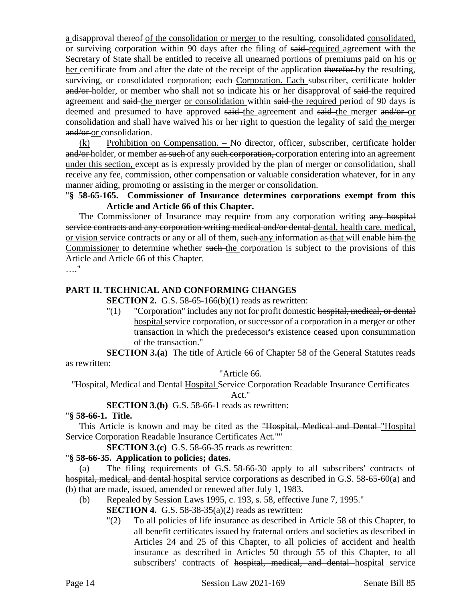a disapproval thereof of the consolidation or merger to the resulting, consolidated consolidated, or surviving corporation within 90 days after the filing of said required agreement with the Secretary of State shall be entitled to receive all unearned portions of premiums paid on his or her certificate from and after the date of the receipt of the application therefor by the resulting, surviving, or consolidated corporation; each Corporation. Each subscriber, certificate holder and/or-holder, or member who shall not so indicate his or her disapproval of said-the required agreement and said the merger or consolidation within said the required period of 90 days is deemed and presumed to have approved said the agreement and said the merger and/or or consolidation and shall have waived his or her right to question the legality of said the merger and/or-or consolidation.

(k) Prohibition on Compensation. – No director, officer, subscriber, certificate holder and/or-holder, or member as such of any such corporation, corporation entering into an agreement under this section, except as is expressly provided by the plan of merger or consolidation, shall receive any fee, commission, other compensation or valuable consideration whatever, for in any manner aiding, promoting or assisting in the merger or consolidation.

"**§ 58-65-165. Commissioner of Insurance determines corporations exempt from this Article and Article 66 of this Chapter.**

The Commissioner of Insurance may require from any corporation writing any hospital service contracts and any corporation writing medical and/or dental-dental, health care, medical, or vision service contracts or any or all of them, such any information as that will enable him the Commissioner to determine whether such the corporation is subject to the provisions of this Article and Article 66 of this Chapter.

…."

### **PART II. TECHNICAL AND CONFORMING CHANGES**

**SECTION 2.** G.S. 58-65-166(b)(1) reads as rewritten:

"(1) "Corporation" includes any not for profit domestic hospital, medical, or dental hospital service corporation, or successor of a corporation in a merger or other transaction in which the predecessor's existence ceased upon consummation of the transaction."

**SECTION 3.(a)** The title of Article 66 of Chapter 58 of the General Statutes reads as rewritten:

"Article 66.

"Hospital, Medical and Dental Hospital Service Corporation Readable Insurance Certificates

Act."

**SECTION 3.(b)** G.S. 58-66-1 reads as rewritten:

### "**§ 58-66-1. Title.**

This Article is known and may be cited as the "Hospital, Medical and Dental-"Hospital Service Corporation Readable Insurance Certificates Act.""

**SECTION 3.(c)** G.S. 58-66-35 reads as rewritten:

### "**§ 58-66-35. Application to policies; dates.**

(a) The filing requirements of G.S. 58-66-30 apply to all subscribers' contracts of hospital, medical, and dental hospital service corporations as described in G.S. 58-65-60(a) and (b) that are made, issued, amended or renewed after July 1, 1983.

- (b) Repealed by Session Laws 1995, c. 193, s. 58, effective June 7, 1995."
	- **SECTION 4.** G.S. 58-38-35(a)(2) reads as rewritten:
		- "(2) To all policies of life insurance as described in Article 58 of this Chapter, to all benefit certificates issued by fraternal orders and societies as described in Articles 24 and 25 of this Chapter, to all policies of accident and health insurance as described in Articles 50 through 55 of this Chapter, to all subscribers' contracts of hospital, medical, and dental hospital service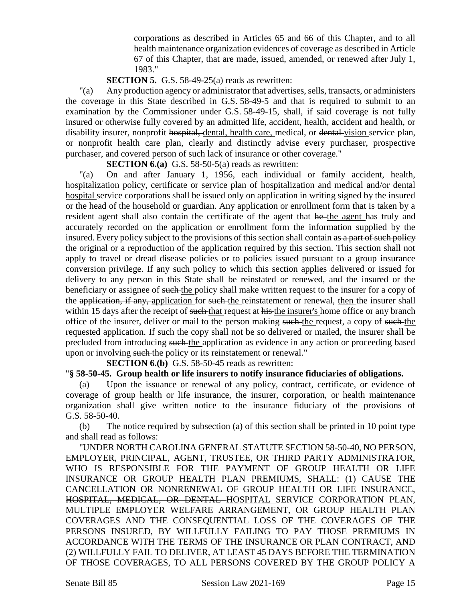corporations as described in Articles 65 and 66 of this Chapter, and to all health maintenance organization evidences of coverage as described in Article 67 of this Chapter, that are made, issued, amended, or renewed after July 1, 1983."

### **SECTION 5.** G.S. 58-49-25(a) reads as rewritten:

"(a) Any production agency or administrator that advertises, sells, transacts, or administers the coverage in this State described in G.S. 58-49-5 and that is required to submit to an examination by the Commissioner under G.S. 58-49-15, shall, if said coverage is not fully insured or otherwise fully covered by an admitted life, accident, health, accident and health, or disability insurer, nonprofit hospital, dental, health care, medical, or dental vision service plan, or nonprofit health care plan, clearly and distinctly advise every purchaser, prospective purchaser, and covered person of such lack of insurance or other coverage."

**SECTION 6.(a)** G.S. 58-50-5(a) reads as rewritten:

"(a) On and after January 1, 1956, each individual or family accident, health, hospitalization policy, certificate or service plan of hospitalization and medical and/or dental hospital service corporations shall be issued only on application in writing signed by the insured or the head of the household or guardian. Any application or enrollment form that is taken by a resident agent shall also contain the certificate of the agent that he the agent has truly and accurately recorded on the application or enrollment form the information supplied by the insured. Every policy subject to the provisions of this section shall contain as a part of such policy the original or a reproduction of the application required by this section. This section shall not apply to travel or dread disease policies or to policies issued pursuant to a group insurance conversion privilege. If any such policy to which this section applies delivered or issued for delivery to any person in this State shall be reinstated or renewed, and the insured or the beneficiary or assignee of such the policy shall make written request to the insurer for a copy of the application, if any, application for such the reinstatement or renewal, then the insurer shall within 15 days after the receipt of such that request at his the insurer's home office or any branch office of the insurer, deliver or mail to the person making such the request, a copy of such the requested application. If such the copy shall not be so delivered or mailed, the insurer shall be precluded from introducing such the application as evidence in any action or proceeding based upon or involving such the policy or its reinstatement or renewal."

**SECTION 6.(b)** G.S. 58-50-45 reads as rewritten:

### "**§ 58-50-45. Group health or life insurers to notify insurance fiduciaries of obligations.**

(a) Upon the issuance or renewal of any policy, contract, certificate, or evidence of coverage of group health or life insurance, the insurer, corporation, or health maintenance organization shall give written notice to the insurance fiduciary of the provisions of G.S. 58-50-40.

(b) The notice required by subsection (a) of this section shall be printed in 10 point type and shall read as follows:

"UNDER NORTH CAROLINA GENERAL STATUTE SECTION 58-50-40, NO PERSON, EMPLOYER, PRINCIPAL, AGENT, TRUSTEE, OR THIRD PARTY ADMINISTRATOR, WHO IS RESPONSIBLE FOR THE PAYMENT OF GROUP HEALTH OR LIFE INSURANCE OR GROUP HEALTH PLAN PREMIUMS, SHALL: (1) CAUSE THE CANCELLATION OR NONRENEWAL OF GROUP HEALTH OR LIFE INSURANCE, HOSPITAL, MEDICAL, OR DENTAL HOSPITAL SERVICE CORPORATION PLAN, MULTIPLE EMPLOYER WELFARE ARRANGEMENT, OR GROUP HEALTH PLAN COVERAGES AND THE CONSEQUENTIAL LOSS OF THE COVERAGES OF THE PERSONS INSURED, BY WILLFULLY FAILING TO PAY THOSE PREMIUMS IN ACCORDANCE WITH THE TERMS OF THE INSURANCE OR PLAN CONTRACT, AND (2) WILLFULLY FAIL TO DELIVER, AT LEAST 45 DAYS BEFORE THE TERMINATION OF THOSE COVERAGES, TO ALL PERSONS COVERED BY THE GROUP POLICY A